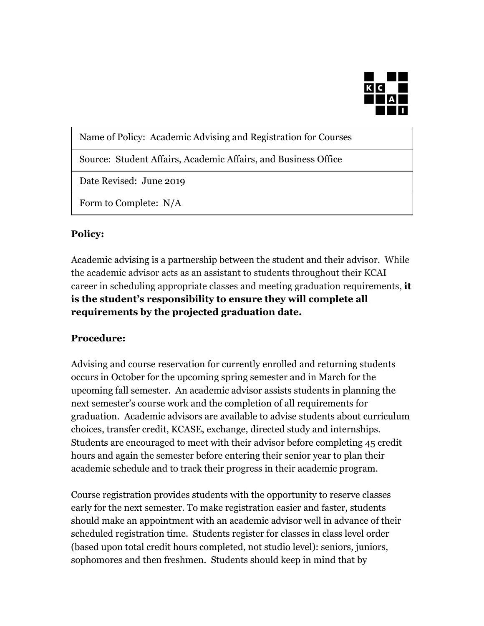

Name of Policy: Academic Advising and Registration for Courses

Source: Student Affairs, Academic Affairs, and Business Office

Date Revised: June 2019

Form to Complete: N/A

## **Policy:**

Academic advising is a partnership between the student and their advisor. While the academic advisor acts as an assistant to students throughout their KCAI career in scheduling appropriate classes and meeting graduation requirements, **it is the student's responsibility to ensure they will complete all requirements by the projected graduation date.**

## **Procedure:**

Advising and course reservation for currently enrolled and returning students occurs in October for the upcoming spring semester and in March for the upcoming fall semester. An academic advisor assists students in planning the next semester's course work and the completion of all requirements for graduation. Academic advisors are available to advise students about curriculum choices, transfer credit, KCASE, exchange, directed study and internships. Students are encouraged to meet with their advisor before completing 45 credit hours and again the semester before entering their senior year to plan their academic schedule and to track their progress in their academic program.

Course registration provides students with the opportunity to reserve classes early for the next semester. To make registration easier and faster, students should make an appointment with an academic advisor well in advance of their scheduled registration time. Students register for classes in class level order (based upon total credit hours completed, not studio level): seniors, juniors, sophomores and then freshmen. Students should keep in mind that by